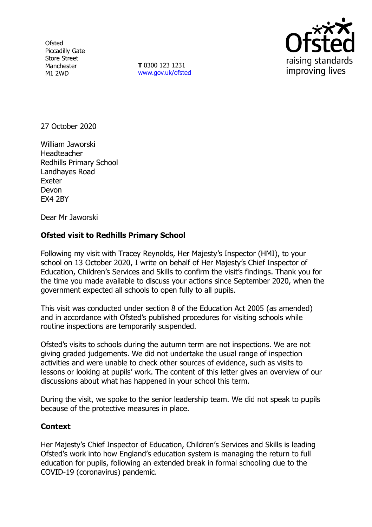**Ofsted** Piccadilly Gate Store Street Manchester M1 2WD

**T** 0300 123 1231 [www.gov.uk/ofsted](http://www.gov.uk/ofsted)



27 October 2020

William Jaworski **Headteacher** Redhills Primary School Landhayes Road Exeter Devon EX4 2BY

Dear Mr Jaworski

## **Ofsted visit to Redhills Primary School**

Following my visit with Tracey Reynolds, Her Majesty's Inspector (HMI), to your school on 13 October 2020, I write on behalf of Her Majesty's Chief Inspector of Education, Children's Services and Skills to confirm the visit's findings. Thank you for the time you made available to discuss your actions since September 2020, when the government expected all schools to open fully to all pupils.

This visit was conducted under section 8 of the Education Act 2005 (as amended) and in accordance with Ofsted's published procedures for visiting schools while routine inspections are temporarily suspended.

Ofsted's visits to schools during the autumn term are not inspections. We are not giving graded judgements. We did not undertake the usual range of inspection activities and were unable to check other sources of evidence, such as visits to lessons or looking at pupils' work. The content of this letter gives an overview of our discussions about what has happened in your school this term.

During the visit, we spoke to the senior leadership team. We did not speak to pupils because of the protective measures in place.

## **Context**

Her Majesty's Chief Inspector of Education, Children's Services and Skills is leading Ofsted's work into how England's education system is managing the return to full education for pupils, following an extended break in formal schooling due to the COVID-19 (coronavirus) pandemic.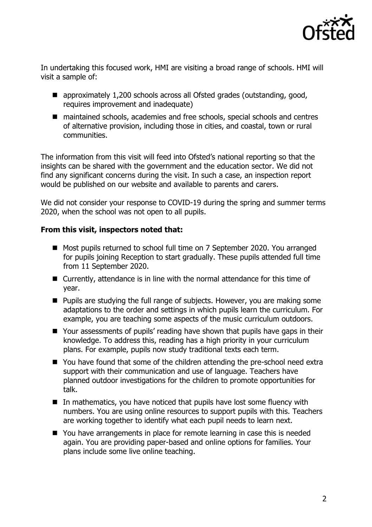

In undertaking this focused work, HMI are visiting a broad range of schools. HMI will visit a sample of:

- approximately 1,200 schools across all Ofsted grades (outstanding, good, requires improvement and inadequate)
- maintained schools, academies and free schools, special schools and centres of alternative provision, including those in cities, and coastal, town or rural communities.

The information from this visit will feed into Ofsted's national reporting so that the insights can be shared with the government and the education sector. We did not find any significant concerns during the visit. In such a case, an inspection report would be published on our website and available to parents and carers.

We did not consider your response to COVID-19 during the spring and summer terms 2020, when the school was not open to all pupils.

## **From this visit, inspectors noted that:**

- Most pupils returned to school full time on 7 September 2020. You arranged for pupils joining Reception to start gradually. These pupils attended full time from 11 September 2020.
- Currently, attendance is in line with the normal attendance for this time of year.
- **Pupils are studying the full range of subjects. However, you are making some** adaptations to the order and settings in which pupils learn the curriculum. For example, you are teaching some aspects of the music curriculum outdoors.
- Your assessments of pupils' reading have shown that pupils have gaps in their knowledge. To address this, reading has a high priority in your curriculum plans. For example, pupils now study traditional texts each term.
- You have found that some of the children attending the pre-school need extra support with their communication and use of language. Teachers have planned outdoor investigations for the children to promote opportunities for talk.
- $\blacksquare$  In mathematics, you have noticed that pupils have lost some fluency with numbers. You are using online resources to support pupils with this. Teachers are working together to identify what each pupil needs to learn next.
- You have arrangements in place for remote learning in case this is needed again. You are providing paper-based and online options for families. Your plans include some live online teaching.